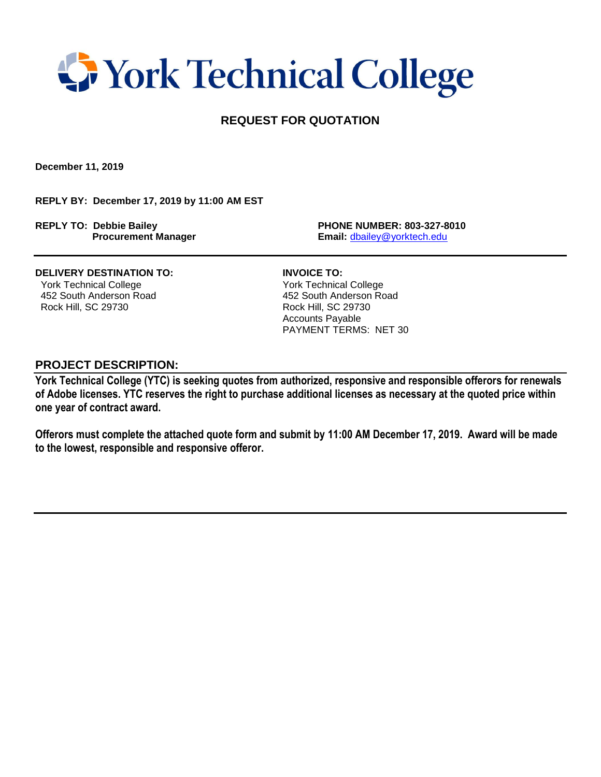## **T** York Technical College

### **REQUEST FOR QUOTATION**

**December 11, 2019**

**REPLY BY: December 17, 2019 by 11:00 AM EST**

**REPLY TO: Debbie Bailey PHONE NUMBER: 803-327-8010**

 **Procurement Manager Email:** [dbailey@yorktech.edu](mailto:dbailey@yorktech.edu)

**DELIVERY DESTINATION TO: INVOICE TO:** York Technical College York Technical College 452 South Anderson Road 452 South Anderson Road

Rock Hill, SC 29730 Rock Hill, SC 29730 Accounts Payable PAYMENT TERMS: NET 30

#### **PROJECT DESCRIPTION:**

**York Technical College (YTC) is seeking quotes from authorized, responsive and responsible offerors for renewals of Adobe licenses. YTC reserves the right to purchase additional licenses as necessary at the quoted price within one year of contract award.** 

**Offerors must complete the attached quote form and submit by 11:00 AM December 17, 2019. Award will be made to the lowest, responsible and responsive offeror.**